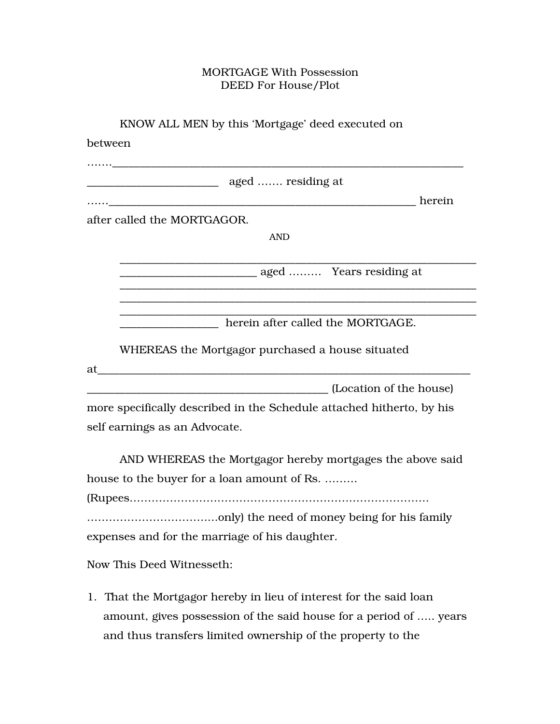## MORTGAGE With Possession DEED For House/Plot

| KNOW ALL MEN by this 'Mortgage' deed executed on                                                                                        |  |
|-----------------------------------------------------------------------------------------------------------------------------------------|--|
| between                                                                                                                                 |  |
|                                                                                                                                         |  |
|                                                                                                                                         |  |
| herein                                                                                                                                  |  |
| after called the MORTGAGOR.                                                                                                             |  |
| <b>AND</b>                                                                                                                              |  |
|                                                                                                                                         |  |
| herein after called the MORTGAGE.                                                                                                       |  |
| WHEREAS the Mortgagor purchased a house situated<br>at<br><u> 1986 - Johann Barbara, martin d</u>                                       |  |
| (Location of the house)                                                                                                                 |  |
| more specifically described in the Schedule attached hitherto, by his                                                                   |  |
| self earnings as an Advocate.                                                                                                           |  |
| AND WHEREAS the Mortgagor hereby mortgages the above said                                                                               |  |
| house to the buyer for a loan amount of Rs.                                                                                             |  |
|                                                                                                                                         |  |
|                                                                                                                                         |  |
| expenses and for the marriage of his daughter.                                                                                          |  |
| Now This Deed Witnesseth:                                                                                                               |  |
| 1. That the Mortgagor hereby in lieu of interest for the said loan<br>amount, gives possession of the said house for a period of  years |  |

and thus transfers limited ownership of the property to the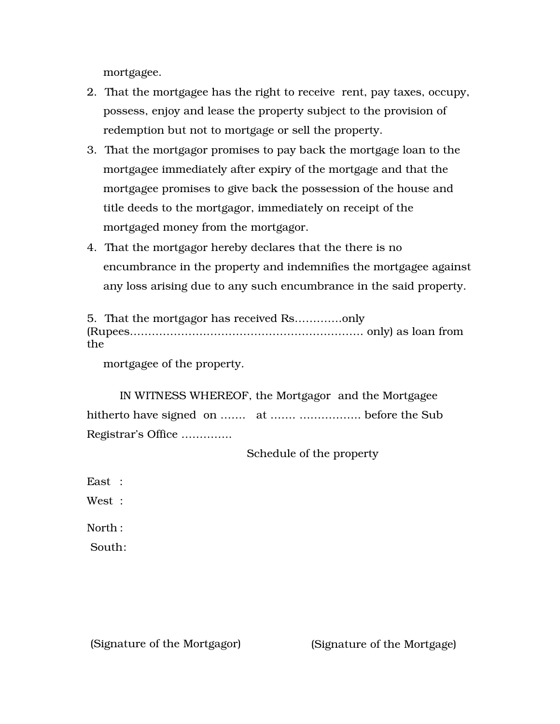mortgagee.

- 2. That the mortgagee has the right to receive rent, pay taxes, occupy, possess, enjoy and lease the property subject to the provision of redemption but not to mortgage or sell the property.
- 3. That the mortgagor promises to pay back the mortgage loan to the mortgagee immediately after expiry of the mortgage and that the mortgagee promises to give back the possession of the house and title deeds to the mortgagor, immediately on receipt of the mortgaged money from the mortgagor.
- 4. That the mortgagor hereby declares that the there is no encumbrance in the property and indemnifies the mortgagee against any loss arising due to any such encumbrance in the said property.

| the |  |
|-----|--|

mortgagee of the property.

IN WITNESS WHEREOF, the Mortgagor and the Mortgagee hitherto have signed on ……. at ……. …………….. before the Sub Registrar's Office …………..

Schedule of the property

East :

West :

North :

South:

(Signature of the Mortgagor) (Signature of the Mortgage)